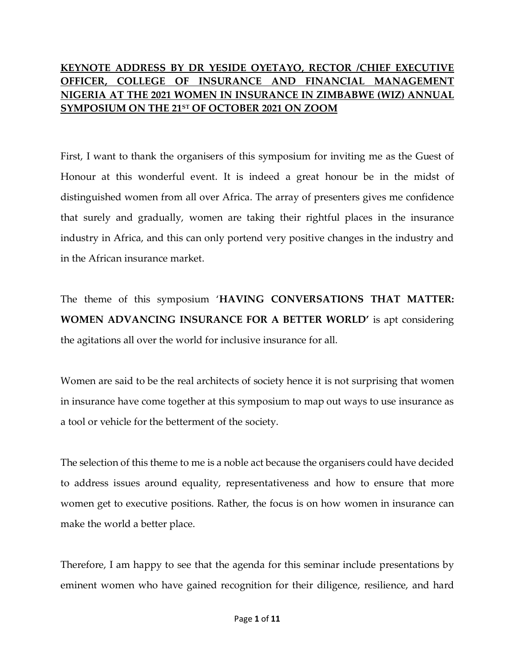## **KEYNOTE ADDRESS BY DR YESIDE OYETAYO, RECTOR /CHIEF EXECUTIVE OFFICER, COLLEGE OF INSURANCE AND FINANCIAL MANAGEMENT NIGERIA AT THE 2021 WOMEN IN INSURANCE IN ZIMBABWE (WIZ) ANNUAL SYMPOSIUM ON THE 21ST OF OCTOBER 2021 ON ZOOM**

First, I want to thank the organisers of this symposium for inviting me as the Guest of Honour at this wonderful event. It is indeed a great honour be in the midst of distinguished women from all over Africa. The array of presenters gives me confidence that surely and gradually, women are taking their rightful places in the insurance industry in Africa, and this can only portend very positive changes in the industry and in the African insurance market.

The theme of this symposium '**HAVING CONVERSATIONS THAT MATTER: WOMEN ADVANCING INSURANCE FOR A BETTER WORLD'** is apt considering the agitations all over the world for inclusive insurance for all.

Women are said to be the real architects of society hence it is not surprising that women in insurance have come together at this symposium to map out ways to use insurance as a tool or vehicle for the betterment of the society.

The selection of this theme to me is a noble act because the organisers could have decided to address issues around equality, representativeness and how to ensure that more women get to executive positions. Rather, the focus is on how women in insurance can make the world a better place.

Therefore, I am happy to see that the agenda for this seminar include presentations by eminent women who have gained recognition for their diligence, resilience, and hard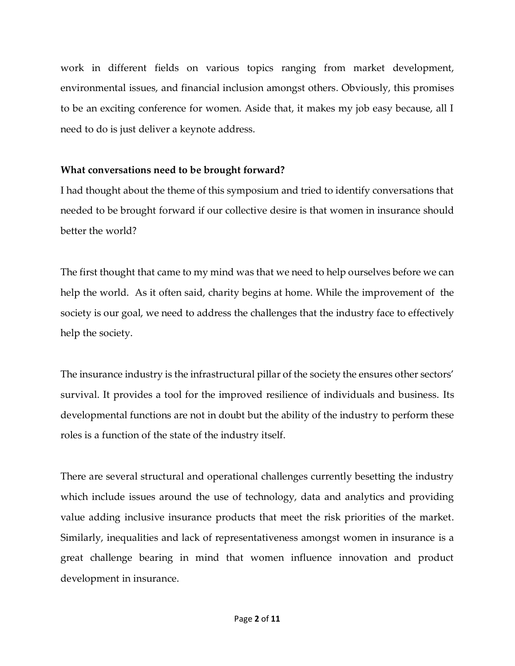work in different fields on various topics ranging from market development, environmental issues, and financial inclusion amongst others. Obviously, this promises to be an exciting conference for women. Aside that, it makes my job easy because, all I need to do is just deliver a keynote address.

## **What conversations need to be brought forward?**

I had thought about the theme of this symposium and tried to identify conversations that needed to be brought forward if our collective desire is that women in insurance should better the world?

The first thought that came to my mind was that we need to help ourselves before we can help the world. As it often said, charity begins at home. While the improvement of the society is our goal, we need to address the challenges that the industry face to effectively help the society.

The insurance industry is the infrastructural pillar of the society the ensures other sectors' survival. It provides a tool for the improved resilience of individuals and business. Its developmental functions are not in doubt but the ability of the industry to perform these roles is a function of the state of the industry itself.

There are several structural and operational challenges currently besetting the industry which include issues around the use of technology, data and analytics and providing value adding inclusive insurance products that meet the risk priorities of the market. Similarly, inequalities and lack of representativeness amongst women in insurance is a great challenge bearing in mind that women influence innovation and product development in insurance.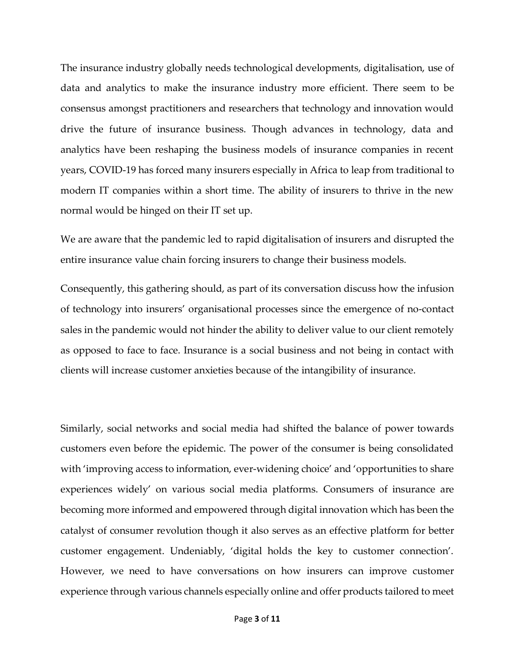The insurance industry globally needs technological developments, digitalisation, use of data and analytics to make the insurance industry more efficient. There seem to be consensus amongst practitioners and researchers that technology and innovation would drive the future of insurance business. Though advances in technology, data and analytics have been reshaping the business models of insurance companies in recent years, COVID-19 has forced many insurers especially in Africa to leap from traditional to modern IT companies within a short time. The ability of insurers to thrive in the new normal would be hinged on their IT set up.

We are aware that the pandemic led to rapid digitalisation of insurers and disrupted the entire insurance value chain forcing insurers to change their business models.

Consequently, this gathering should, as part of its conversation discuss how the infusion of technology into insurers' organisational processes since the emergence of no-contact sales in the pandemic would not hinder the ability to deliver value to our client remotely as opposed to face to face. Insurance is a social business and not being in contact with clients will increase customer anxieties because of the intangibility of insurance.

Similarly, social networks and social media had shifted the balance of power towards customers even before the epidemic. The power of the consumer is being consolidated with 'improving access to information, ever-widening choice' and 'opportunities to share experiences widely' on various social media platforms. Consumers of insurance are becoming more informed and empowered through digital innovation which has been the catalyst of consumer revolution though it also serves as an effective platform for better customer engagement. Undeniably, 'digital holds the key to customer connection'. However, we need to have conversations on how insurers can improve customer experience through various channels especially online and offer products tailored to meet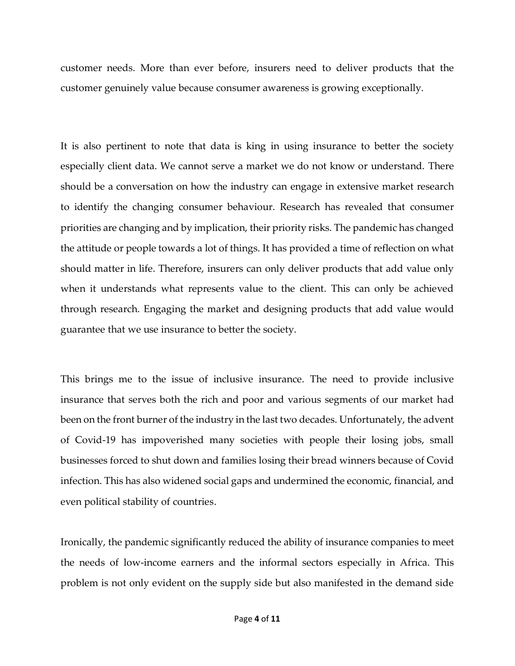customer needs. More than ever before, insurers need to deliver products that the customer genuinely value because consumer awareness is growing exceptionally.

It is also pertinent to note that data is king in using insurance to better the society especially client data. We cannot serve a market we do not know or understand. There should be a conversation on how the industry can engage in extensive market research to identify the changing consumer behaviour. Research has revealed that consumer priorities are changing and by implication, their priority risks. The pandemic has changed the attitude or people towards a lot of things. It has provided a time of reflection on what should matter in life. Therefore, insurers can only deliver products that add value only when it understands what represents value to the client. This can only be achieved through research. Engaging the market and designing products that add value would guarantee that we use insurance to better the society.

This brings me to the issue of inclusive insurance. The need to provide inclusive insurance that serves both the rich and poor and various segments of our market had been on the front burner of the industry in the last two decades. Unfortunately, the advent of Covid-19 has impoverished many societies with people their losing jobs, small businesses forced to shut down and families losing their bread winners because of Covid infection. This has also widened social gaps and undermined the economic, financial, and even political stability of countries.

Ironically, the pandemic significantly reduced the ability of insurance companies to meet the needs of low-income earners and the informal sectors especially in Africa. This problem is not only evident on the supply side but also manifested in the demand side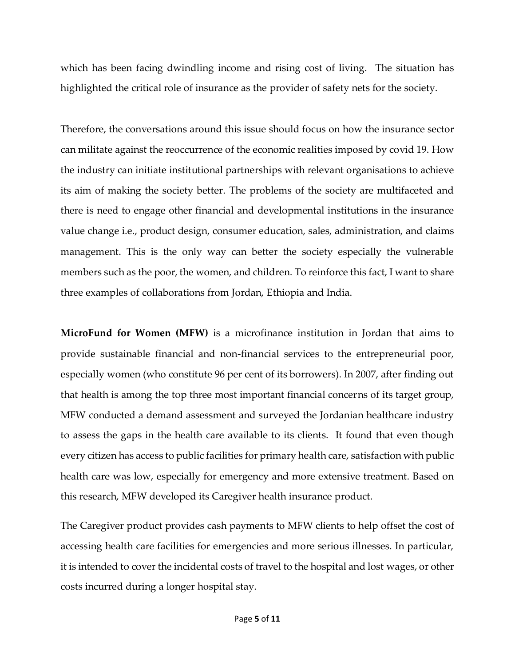which has been facing dwindling income and rising cost of living. The situation has highlighted the critical role of insurance as the provider of safety nets for the society.

Therefore, the conversations around this issue should focus on how the insurance sector can militate against the reoccurrence of the economic realities imposed by covid 19. How the industry can initiate institutional partnerships with relevant organisations to achieve its aim of making the society better. The problems of the society are multifaceted and there is need to engage other financial and developmental institutions in the insurance value change i.e., product design, consumer education, sales, administration, and claims management. This is the only way can better the society especially the vulnerable members such as the poor, the women, and children. To reinforce this fact, I want to share three examples of collaborations from Jordan, Ethiopia and India.

**MicroFund for Women (MFW)** is a microfinance institution in Jordan that aims to provide sustainable financial and non-financial services to the entrepreneurial poor, especially women (who constitute 96 per cent of its borrowers). In 2007, after finding out that health is among the top three most important financial concerns of its target group, MFW conducted a demand assessment and surveyed the Jordanian healthcare industry to assess the gaps in the health care available to its clients. It found that even though every citizen has access to public facilities for primary health care, satisfaction with public health care was low, especially for emergency and more extensive treatment. Based on this research, MFW developed its Caregiver health insurance product.

The Caregiver product provides cash payments to MFW clients to help offset the cost of accessing health care facilities for emergencies and more serious illnesses. In particular, it is intended to cover the incidental costs of travel to the hospital and lost wages, or other costs incurred during a longer hospital stay.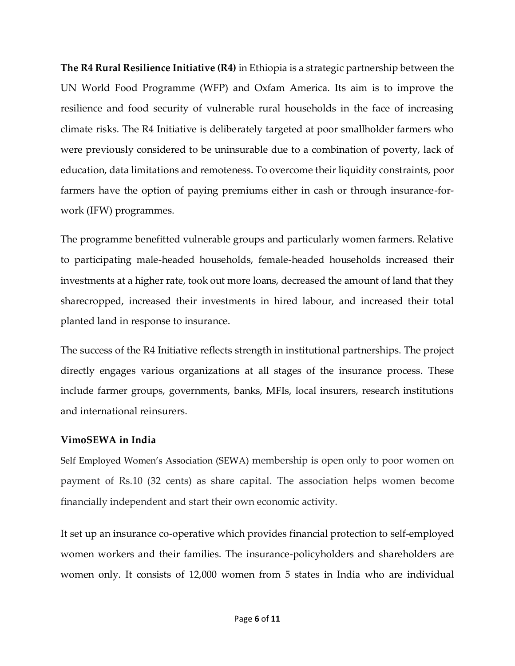**The R4 Rural Resilience Initiative (R4)** in Ethiopia is a strategic partnership between the UN World Food Programme (WFP) and Oxfam America. Its aim is to improve the resilience and food security of vulnerable rural households in the face of increasing climate risks. The R4 Initiative is deliberately targeted at poor smallholder farmers who were previously considered to be uninsurable due to a combination of poverty, lack of education, data limitations and remoteness. To overcome their liquidity constraints, poor farmers have the option of paying premiums either in cash or through insurance-forwork (IFW) programmes.

The programme benefitted vulnerable groups and particularly women farmers. Relative to participating male-headed households, female-headed households increased their investments at a higher rate, took out more loans, decreased the amount of land that they sharecropped, increased their investments in hired labour, and increased their total planted land in response to insurance.

The success of the R4 Initiative reflects strength in institutional partnerships. The project directly engages various organizations at all stages of the insurance process. These include farmer groups, governments, banks, MFIs, local insurers, research institutions and international reinsurers.

## **VimoSEWA in India**

Self Employed Women's Association (SEWA) membership is open only to poor women on payment of Rs.10 (32 cents) as share capital. The association helps women become financially independent and start their own economic activity.

It set up an insurance co-operative which provides financial protection to self-employed women workers and their families. The insurance-policyholders and shareholders are women only. It consists of 12,000 women from 5 states in India who are individual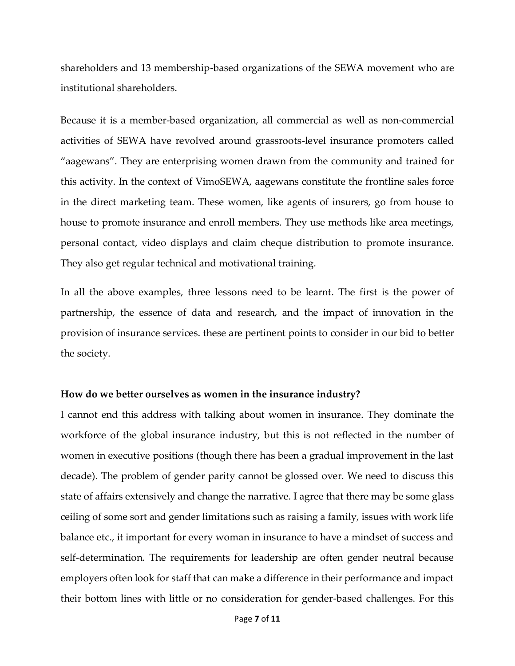shareholders and 13 membership-based organizations of the SEWA movement who are institutional shareholders.

Because it is a member-based organization, all commercial as well as non-commercial activities of SEWA have revolved around grassroots-level insurance promoters called "aagewans". They are enterprising women drawn from the community and trained for this activity. In the context of VimoSEWA, aagewans constitute the frontline sales force in the direct marketing team. These women, like agents of insurers, go from house to house to promote insurance and enroll members. They use methods like area meetings, personal contact, video displays and claim cheque distribution to promote insurance. They also get regular technical and motivational training.

In all the above examples, three lessons need to be learnt. The first is the power of partnership, the essence of data and research, and the impact of innovation in the provision of insurance services. these are pertinent points to consider in our bid to better the society.

## **How do we better ourselves as women in the insurance industry?**

I cannot end this address with talking about women in insurance. They dominate the workforce of the global insurance industry, but this is not reflected in the number of women in executive positions (though there has been a gradual improvement in the last decade). The problem of gender parity cannot be glossed over. We need to discuss this state of affairs extensively and change the narrative. I agree that there may be some glass ceiling of some sort and gender limitations such as raising a family, issues with work life balance etc., it important for every woman in insurance to have a mindset of success and self-determination. The requirements for leadership are often gender neutral because employers often look for staff that can make a difference in their performance and impact their bottom lines with little or no consideration for gender-based challenges. For this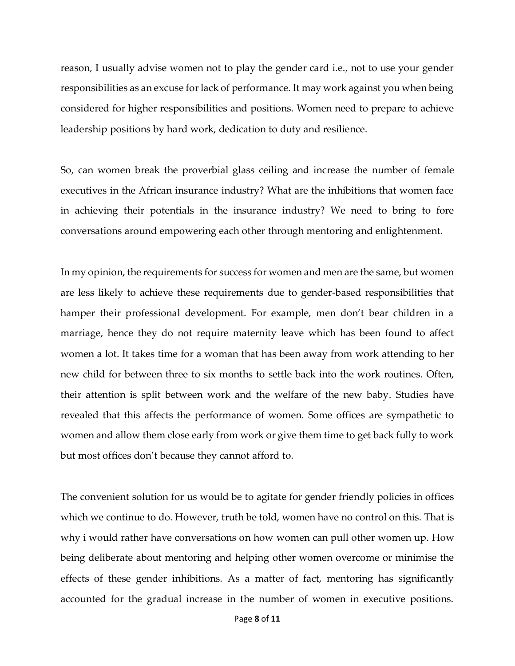reason, I usually advise women not to play the gender card i.e., not to use your gender responsibilities as an excuse for lack of performance. It may work against you when being considered for higher responsibilities and positions. Women need to prepare to achieve leadership positions by hard work, dedication to duty and resilience.

So, can women break the proverbial glass ceiling and increase the number of female executives in the African insurance industry? What are the inhibitions that women face in achieving their potentials in the insurance industry? We need to bring to fore conversations around empowering each other through mentoring and enlightenment.

In my opinion, the requirements for success for women and men are the same, but women are less likely to achieve these requirements due to gender-based responsibilities that hamper their professional development. For example, men don't bear children in a marriage, hence they do not require maternity leave which has been found to affect women a lot. It takes time for a woman that has been away from work attending to her new child for between three to six months to settle back into the work routines. Often, their attention is split between work and the welfare of the new baby. Studies have revealed that this affects the performance of women. Some offices are sympathetic to women and allow them close early from work or give them time to get back fully to work but most offices don't because they cannot afford to.

The convenient solution for us would be to agitate for gender friendly policies in offices which we continue to do. However, truth be told, women have no control on this. That is why i would rather have conversations on how women can pull other women up. How being deliberate about mentoring and helping other women overcome or minimise the effects of these gender inhibitions. As a matter of fact, mentoring has significantly accounted for the gradual increase in the number of women in executive positions.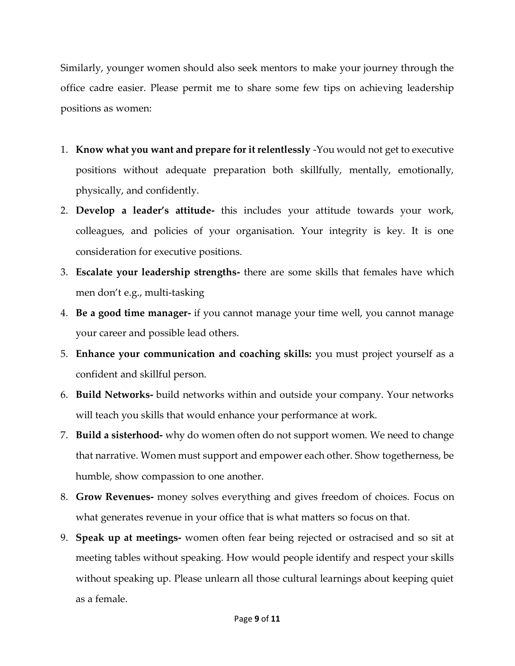Similarly, younger women should also seek mentors to make your journey through the office cadre easier. Please permit me to share some few tips on achieving leadership positions as women:

- 1. **Know what you want and prepare for it relentlessly** -You would not get to executive positions without adequate preparation both skillfully, mentally, emotionally, physically, and confidently.
- 2. **Develop a leader's attitude-** this includes your attitude towards your work, colleagues, and policies of your organisation. Your integrity is key. It is one consideration for executive positions.
- 3. **Escalate your leadership strengths-** there are some skills that females have which men don't e.g., multi-tasking
- 4. **Be a good time manager-** if you cannot manage your time well, you cannot manage your career and possible lead others.
- 5. **Enhance your communication and coaching skills:** you must project yourself as a confident and skillful person.
- 6. **Build Networks-** build networks within and outside your company. Your networks will teach you skills that would enhance your performance at work.
- 7. **Build a sisterhood-** why do women often do not support women. We need to change that narrative. Women must support and empower each other. Show togetherness, be humble, show compassion to one another.
- 8. **Grow Revenues-** money solves everything and gives freedom of choices. Focus on what generates revenue in your office that is what matters so focus on that.
- 9. **Speak up at meetings-** women often fear being rejected or ostracised and so sit at meeting tables without speaking. How would people identify and respect your skills without speaking up. Please unlearn all those cultural learnings about keeping quiet as a female.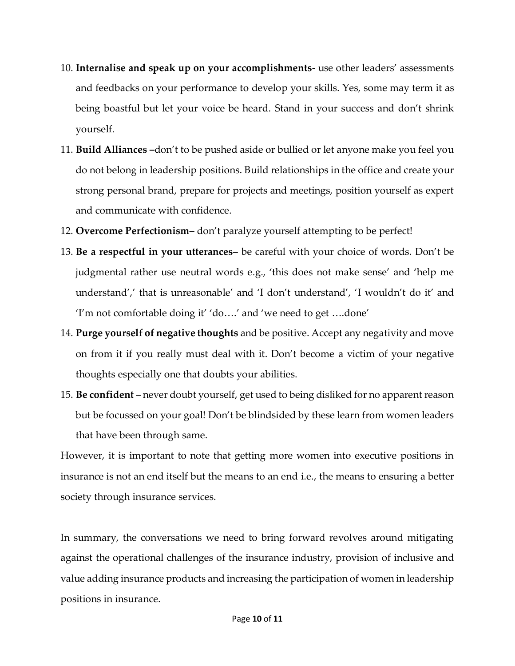- 10. **Internalise and speak up on your accomplishments-** use other leaders' assessments and feedbacks on your performance to develop your skills. Yes, some may term it as being boastful but let your voice be heard. Stand in your success and don't shrink yourself.
- 11. **Build Alliances –**don't to be pushed aside or bullied or let anyone make you feel you do not belong in leadership positions. Build relationships in the office and create your strong personal brand, prepare for projects and meetings, position yourself as expert and communicate with confidence.
- 12. **Overcome Perfectionism** don't paralyze yourself attempting to be perfect!
- 13. **Be a respectful in your utterances–** be careful with your choice of words. Don't be judgmental rather use neutral words e.g., 'this does not make sense' and 'help me understand',' that is unreasonable' and 'I don't understand', 'I wouldn't do it' and 'I'm not comfortable doing it' 'do….' and 'we need to get ….done'
- 14. **Purge yourself of negative thoughts** and be positive. Accept any negativity and move on from it if you really must deal with it. Don't become a victim of your negative thoughts especially one that doubts your abilities.
- 15. **Be confident**  never doubt yourself, get used to being disliked for no apparent reason but be focussed on your goal! Don't be blindsided by these learn from women leaders that have been through same.

However, it is important to note that getting more women into executive positions in insurance is not an end itself but the means to an end i.e., the means to ensuring a better society through insurance services.

In summary, the conversations we need to bring forward revolves around mitigating against the operational challenges of the insurance industry, provision of inclusive and value adding insurance products and increasing the participation of women in leadership positions in insurance.